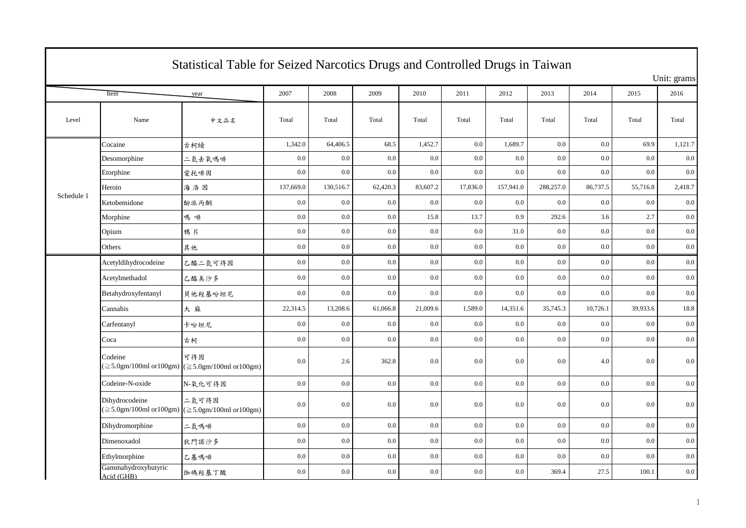|            | Statistical Table for Seized Narcotics Drugs and Controlled Drugs in Taiwan |                                                                                                                       |           |           |          |          |          |           |           |          |          |             |  |
|------------|-----------------------------------------------------------------------------|-----------------------------------------------------------------------------------------------------------------------|-----------|-----------|----------|----------|----------|-----------|-----------|----------|----------|-------------|--|
|            |                                                                             |                                                                                                                       |           |           |          |          |          |           |           |          |          | Unit: grams |  |
|            | Item<br>year                                                                |                                                                                                                       |           | 2008      | 2009     | 2010     | 2011     | 2012      | 2013      | 2014     | 2015     | 2016        |  |
| Level      | Name                                                                        | 中文品名                                                                                                                  | Total     | Total     | Total    | Total    | Total    | Total     | Total     | Total    | Total    | Total       |  |
|            | Cocaine                                                                     | 古柯墩                                                                                                                   | 1,342.0   | 64,406.5  | 68.5     | 1,452.7  | 0.0      | 1,689.7   | 0.0       | 0.0      | 69.9     | 1,121.7     |  |
|            | Desomorphine                                                                | 二氫去氧嗎啡                                                                                                                | 0.0       | 0.0       | 0.0      | 0.0      | 0.0      | 0.0       | 0.0       | 0.0      | 0.0      | 0.0         |  |
|            | Etorphine                                                                   | 愛托啡因                                                                                                                  | 0.0       | 0.0       | $0.0\,$  | 0.0      | 0.0      | 0.0       | 0.0       | 0.0      | 0.0      | 0.0         |  |
|            | Heroin                                                                      | 海洛因                                                                                                                   | 137,669.0 | 130,516.7 | 62,420.3 | 83,607.2 | 17,836.0 | 157,941.0 | 288,257.0 | 86,737.5 | 55,716.8 | 2,418.7     |  |
| Schedule 1 | Ketobemidone                                                                | 酚派丙酮                                                                                                                  | $0.0\,$   | $0.0\,$   | 0.0      | 0.0      | 0.0      | 0.0       | 0.0       | 0.0      | 0.0      | 0.0         |  |
|            | Morphine                                                                    | 嗎啡                                                                                                                    | 0.0       | $0.0\,$   | 0.0      | 15.8     | 13.7     | 0.9       | 292.6     | 3.6      | 2.7      | 0.0         |  |
|            | Opium                                                                       | 鴉片                                                                                                                    | 0.0       | $0.0\,$   | $0.0\,$  | 0.0      | 0.0      | 31.0      | 0.0       | 0.0      | $0.0\,$  | $0.0\,$     |  |
|            | Others                                                                      | 其他                                                                                                                    | 0.0       | 0.0       | 0.0      | 0.0      | 0.0      | 0.0       | $0.0\,$   | 0.0      | 0.0      | $0.0\,$     |  |
|            | Acetyldihydrocodeine                                                        | 乙醯二氫可待因                                                                                                               | $0.0\,$   | 0.0       | $0.0\,$  | 0.0      | 0.0      | $0.0\,$   | $0.0\,$   | 0.0      | 0.0      | $0.0\,$     |  |
|            | Acetylmethadol                                                              | 乙醯美沙多                                                                                                                 | 0.0       | $0.0\,$   | $0.0\,$  | 0.0      | 0.0      | 0.0       | 0.0       | 0.0      | 0.0      | 0.0         |  |
|            | Betahydroxyfentanyl                                                         | 貝他羥基吩坦尼                                                                                                               | 0.0       | 0.0       | 0.0      | 0.0      | 0.0      | 0.0       | 0.0       | 0.0      | 0.0      | 0.0         |  |
|            | Cannabis                                                                    | 大麻                                                                                                                    | 22,314.5  | 13,208.6  | 61,066.8 | 21,009.6 | 1,589.0  | 14,351.6  | 35,745.3  | 10,726.1 | 39,933.6 | 18.8        |  |
|            | Carfentanyl                                                                 | 卡吩坦尼                                                                                                                  | 0.0       | 0.0       | $0.0\,$  | 0.0      | 0.0      | 0.0       | 0.0       | 0.0      | 0.0      | 0.0         |  |
|            | Coca                                                                        | 古柯                                                                                                                    | 0.0       | $0.0\,$   | 0.0      | 0.0      | 0.0      | 0.0       | 0.0       | 0.0      | 0.0      | 0.0         |  |
|            | Codeine                                                                     | 可待因<br>$(\geq 5.0$ gm/100ml or100gm) ( $\geq 5.0$ gm/100ml or100gm)                                                   | 0.0       | 2.6       | 362.8    | 0.0      | 0.0      | 0.0       | $0.0\,$   | 4.0      | 0.0      | 0.0         |  |
|            | Codeine-N-oxide                                                             | N-氧化可待因                                                                                                               | 0.0       | 0.0       | $0.0\,$  | 0.0      | 0.0      | 0.0       | 0.0       | 0.0      | 0.0      | $0.0\,$     |  |
|            | Dihydrocodeine                                                              | 二氫可待因<br>$(\geq 5.0 \text{gm}/100 \text{ml or} 100 \text{gm})$ ( $\geq 5.0 \text{gm}/100 \text{ml or} 100 \text{gm})$ | 0.0       | $0.0\,$   | $0.0\,$  | 0.0      | 0.0      | 0.0       | 0.0       | 0.0      | 0.0      | 0.0         |  |
|            | Dihydromorphine                                                             | 二氢嗎啡                                                                                                                  | 0.0       | $0.0\,$   | $0.0\,$  | 0.0      | 0.0      | 0.0       | 0.0       | 0.0      | $0.0\,$  | 0.0         |  |
|            | Dimenoxadol                                                                 | 狄門諾沙多                                                                                                                 | 0.0       | 0.0       | 0.0      | 0.0      | 0.0      | 0.0       | 0.0       | 0.0      | 0.0      | $0.0\,$     |  |
|            | Ethylmorphine                                                               | 乙基嗎啡                                                                                                                  | $0.0\,$   | 0.0       | $0.0\,$  | 0.0      | 0.0      | $0.0\,$   | $0.0\,$   | 0.0      | $0.0\,$  | $0.0\,$     |  |
|            | Gammahydroxybutyric<br>Acid (GHB)                                           | 伽碼羥基丁酸                                                                                                                | 0.0       | $0.0\,$   | 0.0      | 0.0      | 0.0      | 0.0       | 369.4     | 27.5     | 100.1    | $0.0\,$     |  |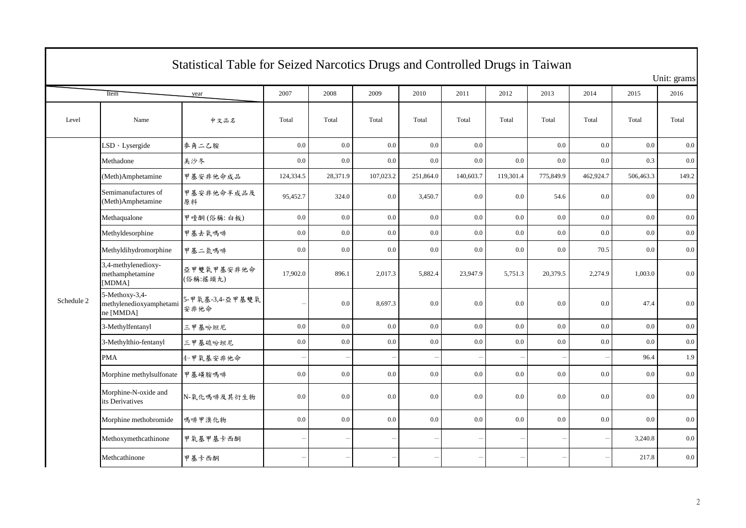| Statistical Table for Seized Narcotics Drugs and Controlled Drugs in Taiwan |                                                        |                         |                          |                          |           |           |           |                          |                          |           |           |         |  |  |
|-----------------------------------------------------------------------------|--------------------------------------------------------|-------------------------|--------------------------|--------------------------|-----------|-----------|-----------|--------------------------|--------------------------|-----------|-----------|---------|--|--|
|                                                                             | Unit: grams                                            |                         |                          |                          |           |           |           |                          |                          |           |           |         |  |  |
|                                                                             | Item                                                   | year                    | 2007                     | 2008                     | 2009      | 2010      | 2011      | 2012                     | 2013                     | 2014      | 2015      | 2016    |  |  |
| Level                                                                       | Name                                                   | 中文品名                    | Total                    | Total                    | Total     | Total     | Total     | Total                    | Total                    | Total     | Total     | Total   |  |  |
|                                                                             | LSD · Lysergide                                        | 麥角二乙胺                   | $0.0\,$                  | 0.0                      | 0.0       | 0.0       | 0.0       |                          | 0.0                      | $0.0\,$   | 0.0       | $0.0\,$ |  |  |
|                                                                             | Methadone                                              | 美沙冬                     | $0.0\,$                  | 0.0                      | $0.0\,$   | $0.0\,$   | 0.0       | 0.0                      | 0.0                      | 0.0       | 0.3       | $0.0\,$ |  |  |
|                                                                             | (Meth)Amphetamine                                      | 甲基安非他命成品                | 124,334.5                | 28,371.9                 | 107,023.2 | 251,864.0 | 140,603.7 | 119,301.4                | 775,849.9                | 462,924.7 | 506,463.3 | 149.2   |  |  |
|                                                                             | Semimanufactures of<br>(Meth)Amphetamine               | 甲基安非他命半成品及<br>原料        | 95,452.7                 | 324.0                    | $0.0\,$   | 3,450.7   | $0.0\,$   | 0.0                      | 54.6                     | 0.0       | $0.0\,$   | 0.0     |  |  |
|                                                                             | Methaqualone                                           | 甲喹酮(俗稱:白板)              | 0.0                      | 0.0                      | 0.0       | 0.0       | 0.0       | 0.0                      | $0.0\,$                  | 0.0       | 0.0       | $0.0\,$ |  |  |
|                                                                             | Methyldesorphine                                       | 甲基去氧嗎啡                  | 0.0                      | 0.0                      | 0.0       | 0.0       | 0.0       | 0.0                      | 0.0                      | 0.0       | $0.0\,$   | 0.0     |  |  |
|                                                                             | Methyldihydromorphine                                  | 甲基二氢嗎啡                  | $0.0\,$                  | $0.0\,$                  | $0.0\,$   | $0.0\,$   | $0.0\,$   | 0.0                      | 0.0                      | 70.5      | 0.0       | $0.0\,$ |  |  |
|                                                                             | 3,4-methylenedioxy-<br>methamphetamine<br>[MDMA]       | 亞甲雙氧甲基安非他命<br>(俗稱:搖頭丸)  | 17,902.0                 | 896.1                    | 2,017.3   | 5,882.4   | 23,947.9  | 5,751.3                  | 20,379.5                 | 2,274.9   | 1,003.0   | 0.0     |  |  |
| Schedule 2                                                                  | 5-Methoxy-3,4-<br>methylenedioxyamphetami<br>ne [MMDA] | 5-甲氧基-3,4-亞甲基雙氧<br>安非他命 |                          | 0.0                      | 8,697.3   | 0.0       | 0.0       | 0.0                      | 0.0                      | 0.0       | 47.4      | 0.0     |  |  |
|                                                                             | 3-Methylfentanyl                                       | 三甲基吩坦尼                  | 0.0                      | 0.0                      | 0.0       | 0.0       | 0.0       | 0.0                      | 0.0                      | 0.0       | 0.0       | 0.0     |  |  |
|                                                                             | 3-Methylthio-fentanyl                                  | 三甲基硫吩坦尼                 | $0.0\,$                  | 0.0                      | $0.0\,$   | 0.0       | $0.0\,$   | $0.0\,$                  | 0.0                      | 0.0       | $0.0\,$   | $0.0\,$ |  |  |
|                                                                             | <b>PMA</b>                                             | 4-甲氧基安非他命               | $\overline{\phantom{a}}$ | $\overline{\phantom{0}}$ |           |           |           | $\overline{\phantom{0}}$ | $\overline{\phantom{0}}$ |           | 96.4      | 1.9     |  |  |
|                                                                             | Morphine methylsulfonate                               | 甲基磺胺嗎啡                  | $0.0\,$                  | 0.0                      | $0.0\,$   | 0.0       | 0.0       | 0.0                      | 0.0                      | 0.0       | 0.0       | $0.0\,$ |  |  |
|                                                                             | Morphine-N-oxide and<br>its Derivatives                | N-氧化嗎啡及其衍生物             | $0.0\,$                  | 0.0                      | 0.0       | 0.0       | 0.0       | 0.0                      | 0.0                      | 0.0       | 0.0       | $0.0\,$ |  |  |
|                                                                             | Morphine methobromide                                  | 嗎啡甲溴化物                  | 0.0                      | 0.0                      | 0.0       | 0.0       | 0.0       | 0.0                      | 0.0                      | 0.0       | 0.0       | 0.0     |  |  |
|                                                                             | Methoxymethcathinone                                   | 甲氧基甲基卡西酮                |                          | $\overline{\phantom{0}}$ |           |           |           |                          |                          |           | 3,240.8   | 0.0     |  |  |
|                                                                             | Methcathinone                                          | 甲基卡西酮                   |                          | $\overline{\phantom{a}}$ |           |           |           |                          |                          |           | 217.8     | 0.0     |  |  |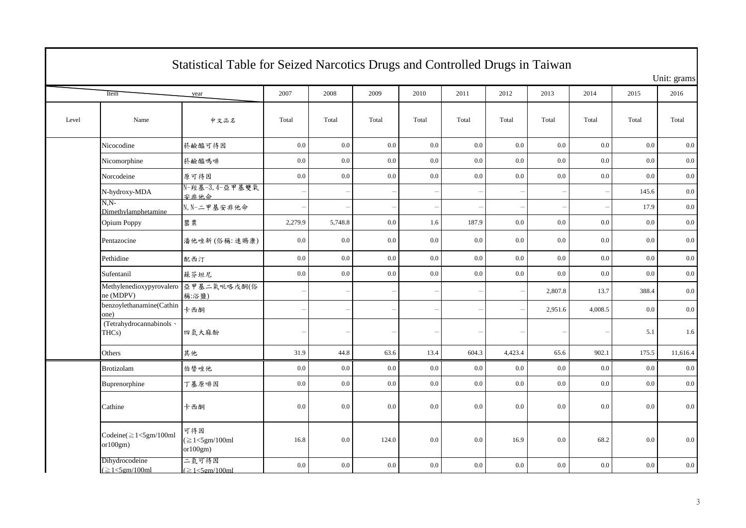|       | Statistical Table for Seized Narcotics Drugs and Controlled Drugs in Taiwan |                                          |                |                          |         |                          |       |                          |         |         |         |             |  |  |
|-------|-----------------------------------------------------------------------------|------------------------------------------|----------------|--------------------------|---------|--------------------------|-------|--------------------------|---------|---------|---------|-------------|--|--|
|       |                                                                             |                                          |                |                          |         |                          |       |                          |         |         |         | Unit: grams |  |  |
|       | Item                                                                        | year                                     | 2007           | 2008                     | 2009    | 2010                     | 2011  | 2012                     | 2013    | 2014    | 2015    | 2016        |  |  |
| Level | Name                                                                        | 中文品名                                     | Total          | Total                    | Total   | Total                    | Total | Total                    | Total   | Total   | Total   | Total       |  |  |
|       | Nicocodine                                                                  | 菸鹼醯可待因                                   | $0.0\,$        | $0.0\,$                  | 0.0     | 0.0                      | 0.0   | 0.0                      | 0.0     | 0.0     | 0.0     | 0.0         |  |  |
|       | Nicomorphine                                                                | 菸鹼醯嗎啡                                    | $0.0\,$        | $0.0\,$                  | 0.0     | 0.0                      | 0.0   | 0.0                      | $0.0\,$ | $0.0\,$ | 0.0     | 0.0         |  |  |
|       | Norcodeine                                                                  | 原可待因                                     | 0.0            | 0.0                      | 0.0     | 0.0                      | 0.0   | 0.0                      | $0.0\,$ | $0.0\,$ | 0.0     | 0.0         |  |  |
|       | N-hydroxy-MDA                                                               | 安非他命                                     |                | $\overline{\phantom{0}}$ |         | $\overline{\phantom{a}}$ |       | $\overline{\phantom{0}}$ |         |         | 145.6   | 0.0         |  |  |
|       | $N.N-$<br>Dimethylamphetamine                                               | N, N-二甲基安非他命                             | $\overline{a}$ | $\overline{\phantom{0}}$ |         |                          |       | $\overline{\phantom{m}}$ |         |         | 17.9    | 0.0         |  |  |
|       | Opium Poppy                                                                 | 罌粟                                       | 2,279.9        | 5,748.8                  | $0.0\,$ | 1.6                      | 187.9 | 0.0                      | $0.0\,$ | 0.0     | 0.0     | 0.0         |  |  |
|       | Pentazocine                                                                 | 潘他唑新(俗稱:速賜康)                             | $0.0\,$        | 0.0                      | 0.0     | 0.0                      | 0.0   | 0.0                      | 0.0     | 0.0     | 0.0     | 0.0         |  |  |
|       | Pethidine                                                                   | 配西汀                                      | $0.0\,$        | $0.0\,$                  | 0.0     | 0.0                      | 0.0   | 0.0                      | $0.0\,$ | $0.0\,$ | 0.0     | 0.0         |  |  |
|       | Sufentanil                                                                  | 蘇芬坦尼                                     | $0.0\,$        | $0.0\,$                  | 0.0     | 0.0                      | 0.0   | 0.0                      | $0.0\,$ | 0.0     | 0.0     | 0.0         |  |  |
|       | Methylenedioxypyrovalero 亞甲基二氧吡咯戊酮(俗<br>ne (MDPV)                           | 稱:浴鹽)                                    |                | $\overline{\phantom{0}}$ |         | $\overline{\phantom{a}}$ |       | $\overline{\phantom{0}}$ | 2,807.8 | 13.7    | 388.4   | 0.0         |  |  |
|       | benzoylethanamine(Cathin<br>one)                                            | 卡西酮                                      |                | $\overline{\phantom{0}}$ |         | $\overline{\phantom{a}}$ |       | $\overline{\phantom{0}}$ | 2,951.6 | 4,008.5 | 0.0     | 0.0         |  |  |
|       | (Tetrahydrocannabinols ·<br>THCs)                                           | 四氫大麻酚                                    |                | $\overline{\phantom{0}}$ |         | $\overline{\phantom{a}}$ |       | $\overline{\phantom{m}}$ |         |         | 5.1     | 1.6         |  |  |
|       | Others                                                                      | 其他                                       | 31.9           | 44.8                     | 63.6    | 13.4                     | 604.3 | 4,423.4                  | 65.6    | 902.1   | 175.5   | 11,616.4    |  |  |
|       | Brotizolam                                                                  | 伯替唑他                                     | $0.0\,$        | $0.0\,$                  | $0.0\,$ | 0.0                      | 0.0   | $0.0\,$                  | 0.0     | $0.0\,$ | 0.0     | 0.0         |  |  |
|       | Buprenorphine                                                               | 丁基原啡因                                    | 0.0            | $0.0\,$                  | $0.0\,$ | 0.0                      | 0.0   | 0.0                      | 0.0     | 0.0     | $0.0\,$ | 0.0         |  |  |
|       | Cathine                                                                     | 卡西酮                                      | 0.0            | 0.0                      | 0.0     | 0.0                      | 0.0   | 0.0                      | $0.0\,$ | 0.0     | 0.0     | 0.0         |  |  |
|       | Codeine $(\geq 1<$ 5gm/100ml<br>or 100gm)                                   | 可待因<br>$(\geq 1<5$ gm/100ml<br>or 100gm) | 16.8           | $0.0\,$                  | 124.0   | 0.0                      | 0.0   | 16.9                     | 0.0     | 68.2    | 0.0     | 0.0         |  |  |
|       | Dihydrocodeine<br>$(\geq1<5$ gm/100ml                                       | 二氫可待因<br>$(\geq1<5$ gm/100ml             | $0.0\,$        | $0.0\,$                  | 0.0     | 0.0                      | 0.0   | 0.0                      | 0.0     | 0.0     | 0.0     | $0.0\,$     |  |  |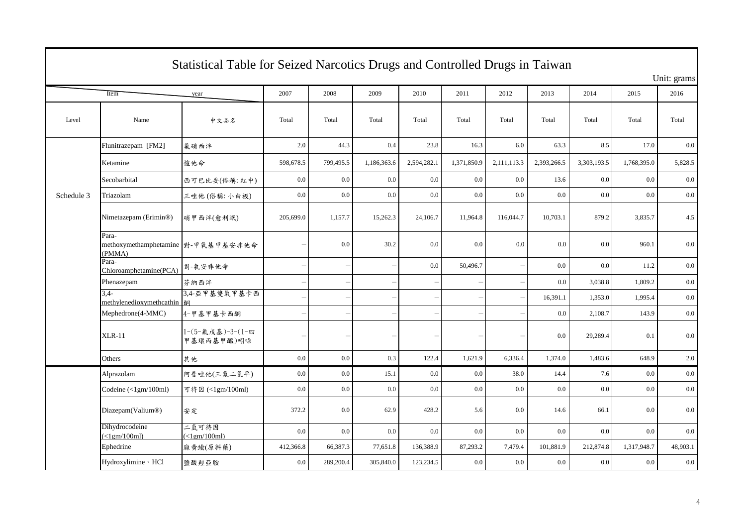|            | Statistical Table for Seized Narcotics Drugs and Controlled Drugs in Taiwan |                                |                          |                          |             |                          |             |                          |             |             |             |             |  |  |
|------------|-----------------------------------------------------------------------------|--------------------------------|--------------------------|--------------------------|-------------|--------------------------|-------------|--------------------------|-------------|-------------|-------------|-------------|--|--|
|            |                                                                             |                                |                          |                          |             |                          |             |                          |             |             |             | Unit: grams |  |  |
|            | Item                                                                        | year                           | 2007                     | 2008                     | 2009        | 2010                     | 2011        | 2012                     | 2013        | 2014        | 2015        | 2016        |  |  |
| Level      | Name                                                                        | 中文品名                           | Total                    | Total                    | Total       | Total                    | Total       | Total                    | Total       | Total       | Total       | Total       |  |  |
|            | Flunitrazepam [FM2]                                                         | 氟硝西泮                           | 2.0                      | 44.3                     | 0.4         | 23.8                     | 16.3        | 6.0                      | 63.3        | 8.5         | 17.0        | 0.0         |  |  |
|            | Ketamine                                                                    | 愷他命                            | 598,678.5                | 799,495.5                | 1,186,363.6 | 2,594,282.1              | 1,371,850.9 | 2,111,113.3              | 2,393,266.5 | 3,303,193.5 | 1,768,395.0 | 5,828.5     |  |  |
|            | Secobarbital                                                                | 西可巴比妥(俗稱:紅中)                   | 0.0                      | 0.0                      | 0.0         | 0.0                      | 0.0         | 0.0                      | 13.6        | 0.0         | 0.0         | 0.0         |  |  |
| Schedule 3 | Triazolam                                                                   | 三唑他(俗稱:小白板)                    | 0.0                      | 0.0                      | 0.0         | 0.0                      | 0.0         | 0.0                      | 0.0         | 0.0         | 0.0         | 0.0         |  |  |
|            | Nimetazepam (Erimin®)                                                       | 硝甲西泮(愈利眠)                      | 205,699.0                | 1,157.7                  | 15,262.3    | 24,106.7                 | 11,964.8    | 116,044.7                | 10,703.1    | 879.2       | 3,835.7     | 4.5         |  |  |
|            | Para-<br>methoxymethamphetamine 對-甲氧基甲基安非他命<br>(PMMA)                       |                                |                          | 0.0                      | 30.2        | 0.0                      | 0.0         | 0.0                      | 0.0         | 0.0         | 960.1       | 0.0         |  |  |
|            | Para-<br>Chloroamphetamine(PCA)                                             | 對-氯安非他命                        |                          | $\overline{\phantom{0}}$ |             | 0.0                      | 50,496.7    |                          | 0.0         | 0.0         | 11.2        | 0.0         |  |  |
|            | Phenazepam                                                                  | 芬納西泮                           |                          | $\qquad \qquad -$        |             |                          |             | $\overline{\phantom{0}}$ | 0.0         | 3,038.8     | 1,809.2     | $0.0\,$     |  |  |
|            | $3.4-$<br>methylenedioxymethcathin                                          | 3,4-亞甲基雙氧甲基卡西                  |                          |                          |             |                          |             |                          | 16,391.1    | 1,353.0     | 1,995.4     | $0.0\,$     |  |  |
|            | Mephedrone(4-MMC)                                                           | 4-甲基甲基卡西酮                      | $\overline{\phantom{0}}$ | $\qquad \qquad -$        |             | $\overline{\phantom{a}}$ |             | $\overline{\phantom{0}}$ | 0.0         | 2,108.7     | 143.9       | 0.0         |  |  |
|            | <b>XLR-11</b>                                                               | 1-(5-氟戊基)-3-(1-四<br>甲基環丙基甲醯)吲哚 |                          | $\overline{\phantom{0}}$ |             |                          |             |                          | 0.0         | 29,289.4    | 0.1         | 0.0         |  |  |
|            | Others                                                                      | 其他                             | 0.0                      | 0.0                      | 0.3         | 122.4                    | 1,621.9     | 6,336.4                  | 1,374.0     | 1,483.6     | 648.9       | 2.0         |  |  |
|            | Alprazolam                                                                  | 阿普唑他(三氮二氮平)                    | 0.0                      | $0.0\,$                  | 15.1        | 0.0                      | 0.0         | 38.0                     | 14.4        | 7.6         | 0.0         | $0.0\,$     |  |  |
|            | Codeine $(\langle 1gm/100ml)$                                               | 可待因 (<1gm/100ml)               | 0.0                      | 0.0                      | 0.0         | 0.0                      | 0.0         | 0.0                      | 0.0         | 0.0         | 0.0         | $0.0\,$     |  |  |
|            | Diazepam(Valium®)                                                           | 安定                             | 372.2                    | 0.0                      | 62.9        | 428.2                    | 5.6         | 0.0                      | 14.6        | 66.1        | 0.0         | 0.0         |  |  |
|            | Dihydrocodeine<br>$\left(\langle 1gm/100ml \right)$                         | 二氫可待因<br>$\leq$ 1em/100ml)     | 0.0                      | 0.0                      | 0.0         | 0.0                      | 0.0         | 0.0                      | 0.0         | 0.0         | 0.0         | 0.0         |  |  |
|            | Ephedrine                                                                   | 麻黄蛾(原料藥)                       | 412,366.8                | 66,387.3                 | 77,651.8    | 136,388.9                | 87,293.2    | 7,479.4                  | 101,881.9   | 212,874.8   | 1,317,948.7 | 48,903.1    |  |  |
|            | Hydroxylimine · HCl                                                         | 鹽酸羥亞胺                          | 0.0                      | 289,200.4                | 305,840.0   | 123,234.5                | 0.0         | 0.0                      | 0.0         | 0.0         | 0.0         | 0.0         |  |  |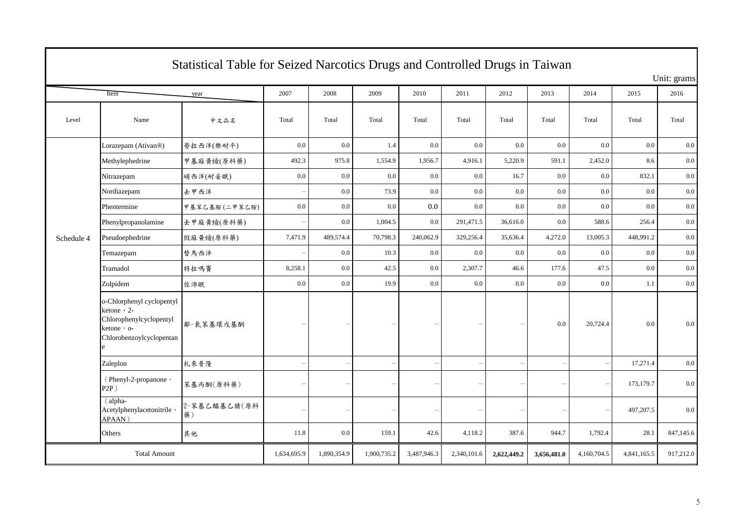| Statistical Table for Seized Narcotics Drugs and Controlled Drugs in Taiwan |                                                                                                                      |                    |             |             |             |             |             |                          |             |             |             |             |
|-----------------------------------------------------------------------------|----------------------------------------------------------------------------------------------------------------------|--------------------|-------------|-------------|-------------|-------------|-------------|--------------------------|-------------|-------------|-------------|-------------|
|                                                                             |                                                                                                                      |                    |             |             |             |             |             |                          |             |             |             | Unit: grams |
|                                                                             | Item                                                                                                                 | year               | 2007        | 2008        | 2009        | 2010        | 2011        | 2012                     | 2013        | 2014        | 2015        | 2016        |
| Level                                                                       | Name                                                                                                                 | 中文品名               | Total       | Total       | Total       | Total       | Total       | Total                    | Total       | Total       | Total       | Total       |
|                                                                             | Lorazepam (Ativan®)                                                                                                  | 勞拉西泮(樂耐平)          | 0.0         | $0.0\,$     | 1.4         | 0.0         | 0.0         | $0.0\,$                  | 0.0         | 0.0         | 0.0         | 0.0         |
|                                                                             | Methylephedrine                                                                                                      | 甲基麻黄蛾(原料藥)         | 492.3       | 975.8       | 1,554.9     | 1,956.7     | 4,916.1     | 5,220.9                  | 591.1       | 2,452.0     | 8.6         | 0.0         |
|                                                                             | Nitrazepam                                                                                                           | 硝西泮(耐妥眠)           | 0.0         | 0.0         | 0.0         | 0.0         | 0.0         | 16.7                     | 0.0         | 0.0         | 832.1       | 0.0         |
|                                                                             | Nordiazepam                                                                                                          | 去甲西泮               |             | 0.0         | 73.9        | 0.0         | 0.0         | 0.0                      | 0.0         | 0.0         | 0.0         | 0.0         |
|                                                                             | Phentermine                                                                                                          | 甲基苯乙基胺(二甲苯乙胺)      | $0.0\,$     | $0.0\,$     | 0.0         | 0.0         | 0.0         | $0.0\,$                  | 0.0         | 0.0         | 0.0         | 0.0         |
|                                                                             | Phenylpropanolamine                                                                                                  | 去甲麻黄蛾(原料藥)         |             | 0.0         | 1,004.5     | 0.0         | 291,471.5   | 36,616.0                 | 0.0         | 588.6       | 256.4       | 0.0         |
| Schedule 4                                                                  | Pseudoephedrine                                                                                                      | 假麻黄蛾(原料藥)          | 7,471.9     | 489,574.4   | 70,798.3    | 240,062.9   | 329,256.4   | 35,636.4                 | 4,272.0     | 13,005.3    | 448,991.2   | 0.0         |
|                                                                             | Temazepam                                                                                                            | 替馬西泮               |             | 0.0         | 10.3        | 0.0         | 0.0         | 0.0                      | 0.0         | 0.0         | 0.0         | 0.0         |
|                                                                             | Tramadol                                                                                                             | 特拉嗎竇               | 8,258.1     | 0.0         | 42.5        | 0.0         | 2,307.7     | 46.6                     | 177.6       | 47.5        | 0.0         | 0.0         |
|                                                                             | Zolpidem                                                                                                             | 佐沛眠                | 0.0         | 0.0         | 19.9        | 0.0         | 0.0         | $0.0\,$                  | 0.0         | 0.0         | 1.1         | 0.0         |
|                                                                             | o-Chlorphenyl cyclopentyl<br>ketone $\cdot$ 2-<br>Chlorophenylcyclopentyl<br>ketone · o-<br>Chlorobenzoylcyclopentan | 鄰-氯苯基環戊基酮          |             |             |             |             |             | $\overline{\phantom{0}}$ | 0.0         | 20,724.4    | 0.0         | 0.0         |
|                                                                             | Zaleplon                                                                                                             | 札來普隆               |             |             |             |             |             | $\overline{\phantom{0}}$ |             |             | 17,271.4    | $0.0\,$     |
|                                                                             | (Phenyl-2-propanone \<br>$P2P$ )                                                                                     | 苯基丙酮(原料藥)          |             |             |             |             |             | $\overline{\phantom{0}}$ |             |             | 173,179.7   | 0.0         |
|                                                                             | (alpha-<br>Acetylphenylacetonitrile \<br>APAAN)                                                                      | 2-苯基乙醯基乙腈(原料<br>藥) |             |             |             |             |             | $\overline{\phantom{a}}$ |             |             | 497,207.5   | 0.0         |
|                                                                             | Others                                                                                                               | 其他                 | 11.8        | 0.0         | 159.1       | 42.6        | 4,118.2     | 387.6                    | 944.7       | 1,792.4     | 28.1        | 847,145.6   |
|                                                                             | <b>Total Amount</b>                                                                                                  |                    | 1,634,695.9 | 1,890,354.9 | 1,900,735.2 | 3,487,946.3 | 2,340,101.6 | 2,622,449.2              | 3,656,481.0 | 4,160,704.5 | 4,841,165.5 | 917,212.0   |